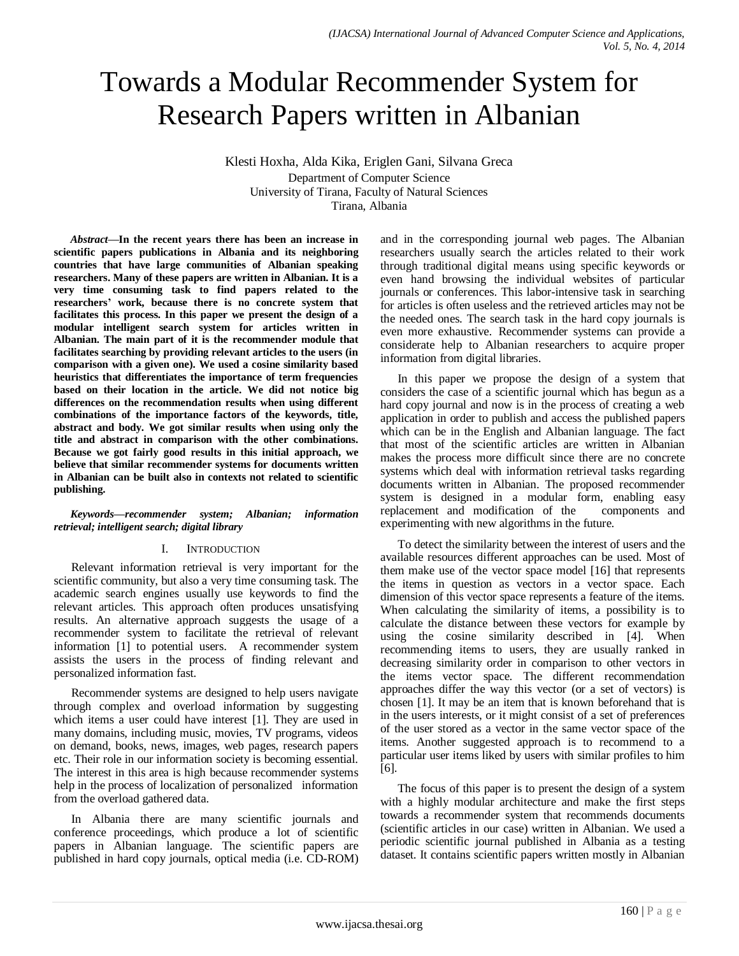# Towards a Modular Recommender System for Research Papers written in Albanian

Klesti Hoxha, Alda Kika, Eriglen Gani, Silvana Greca Department of Computer Science University of Tirana, Faculty of Natural Sciences Tirana, Albania

*Abstract***—In the recent years there has been an increase in scientific papers publications in Albania and its neighboring countries that have large communities of Albanian speaking researchers. Many of these papers are written in Albanian. It is a very time consuming task to find papers related to the researchers' work, because there is no concrete system that facilitates this process. In this paper we present the design of a modular intelligent search system for articles written in Albanian. The main part of it is the recommender module that facilitates searching by providing relevant articles to the users (in comparison with a given one). We used a cosine similarity based heuristics that differentiates the importance of term frequencies based on their location in the article. We did not notice big differences on the recommendation results when using different combinations of the importance factors of the keywords, title, abstract and body. We got similar results when using only the title and abstract in comparison with the other combinations. Because we got fairly good results in this initial approach, we believe that similar recommender systems for documents written in Albanian can be built also in contexts not related to scientific publishing.**

#### *Keywords—recommender system; Albanian; information retrieval; intelligent search; digital library*

## I. INTRODUCTION

Relevant information retrieval is very important for the scientific community, but also a very time consuming task. The academic search engines usually use keywords to find the relevant articles. This approach often produces unsatisfying results. An alternative approach suggests the usage of a recommender system to facilitate the retrieval of relevant information [1] to potential users. A recommender system assists the users in the process of finding relevant and personalized information fast.

Recommender systems are designed to help users navigate through complex and overload information by suggesting which items a user could have interest [1]. They are used in many domains, including music, movies, TV programs, videos on demand, books, news, images, web pages, research papers etc. Their role in our information society is becoming essential. The interest in this area is high because recommender systems help in the process of localization of personalized information from the overload gathered data.

In Albania there are many scientific journals and conference proceedings, which produce a lot of scientific papers in Albanian language. The scientific papers are published in hard copy journals, optical media (i.e. CD-ROM) and in the corresponding journal web pages. The Albanian researchers usually search the articles related to their work through traditional digital means using specific keywords or even hand browsing the individual websites of particular journals or conferences. This labor-intensive task in searching for articles is often useless and the retrieved articles may not be the needed ones. The search task in the hard copy journals is even more exhaustive. Recommender systems can provide a considerate help to Albanian researchers to acquire proper information from digital libraries.

In this paper we propose the design of a system that considers the case of a scientific journal which has begun as a hard copy journal and now is in the process of creating a web application in order to publish and access the published papers which can be in the English and Albanian language. The fact that most of the scientific articles are written in Albanian makes the process more difficult since there are no concrete systems which deal with information retrieval tasks regarding documents written in Albanian. The proposed recommender system is designed in a modular form, enabling easy replacement and modification of the components and experimenting with new algorithms in the future.

To detect the similarity between the interest of users and the available resources different approaches can be used. Most of them make use of the vector space model [16] that represents the items in question as vectors in a vector space. Each dimension of this vector space represents a feature of the items. When calculating the similarity of items, a possibility is to calculate the distance between these vectors for example by using the cosine similarity described in [4]. When recommending items to users, they are usually ranked in decreasing similarity order in comparison to other vectors in the items vector space. The different recommendation approaches differ the way this vector (or a set of vectors) is chosen [1]. It may be an item that is known beforehand that is in the users interests, or it might consist of a set of preferences of the user stored as a vector in the same vector space of the items. Another suggested approach is to recommend to a particular user items liked by users with similar profiles to him [6].

The focus of this paper is to present the design of a system with a highly modular architecture and make the first steps towards a recommender system that recommends documents (scientific articles in our case) written in Albanian. We used a periodic scientific journal published in Albania as a testing dataset. It contains scientific papers written mostly in Albanian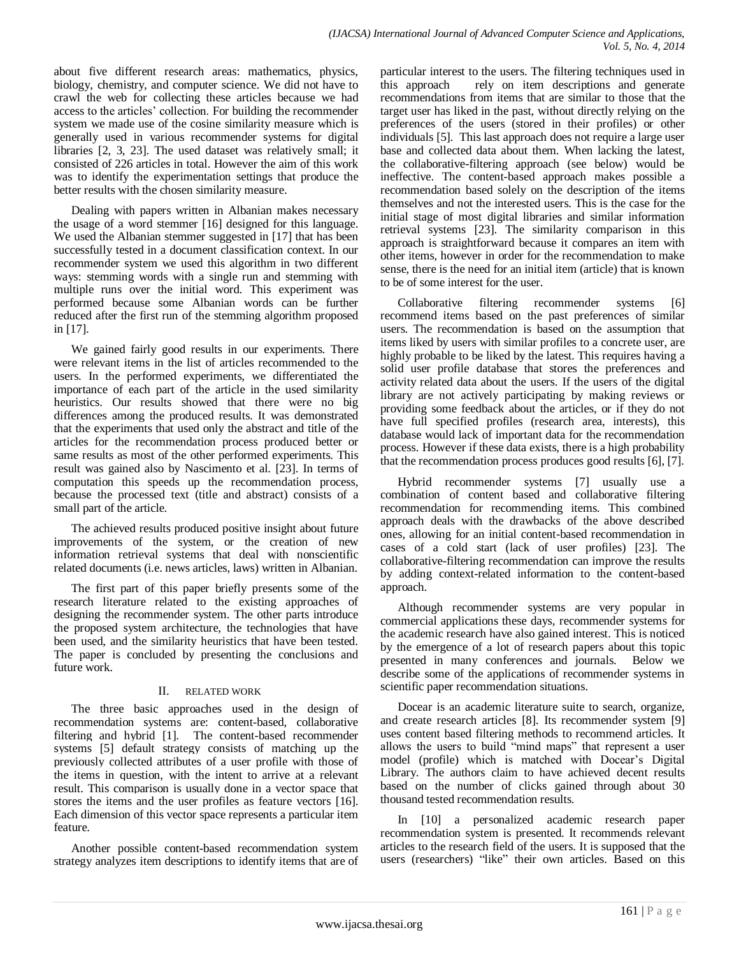about five different research areas: mathematics, physics, biology, chemistry, and computer science. We did not have to crawl the web for collecting these articles because we had access to the articles' collection. For building the recommender system we made use of the cosine similarity measure which is generally used in various recommender systems for digital libraries [2, 3, 23]. The used dataset was relatively small; it consisted of 226 articles in total. However the aim of this work was to identify the experimentation settings that produce the better results with the chosen similarity measure.

Dealing with papers written in Albanian makes necessary the usage of a word stemmer [16] designed for this language. We used the Albanian stemmer suggested in [17] that has been successfully tested in a document classification context. In our recommender system we used this algorithm in two different ways: stemming words with a single run and stemming with multiple runs over the initial word. This experiment was performed because some Albanian words can be further reduced after the first run of the stemming algorithm proposed in [17].

We gained fairly good results in our experiments. There were relevant items in the list of articles recommended to the users. In the performed experiments, we differentiated the importance of each part of the article in the used similarity heuristics. Our results showed that there were no big differences among the produced results. It was demonstrated that the experiments that used only the abstract and title of the articles for the recommendation process produced better or same results as most of the other performed experiments. This result was gained also by Nascimento et al. [23]. In terms of computation this speeds up the recommendation process, because the processed text (title and abstract) consists of a small part of the article.

The achieved results produced positive insight about future improvements of the system, or the creation of new information retrieval systems that deal with nonscientific related documents (i.e. news articles, laws) written in Albanian.

The first part of this paper briefly presents some of the research literature related to the existing approaches of designing the recommender system. The other parts introduce the proposed system architecture, the technologies that have been used, and the similarity heuristics that have been tested. The paper is concluded by presenting the conclusions and future work.

## II. RELATED WORK

The three basic approaches used in the design of recommendation systems are: content-based, collaborative filtering and hybrid [1]. The content-based recommender systems [5] default strategy consists of matching up the previously collected attributes of a user profile with those of the items in question, with the intent to arrive at a relevant result. This comparison is usually done in a vector space that stores the items and the user profiles as feature vectors [16]. Each dimension of this vector space represents a particular item feature.

Another possible content-based recommendation system strategy analyzes item descriptions to identify items that are of particular interest to the users. The filtering techniques used in this approach rely on item descriptions and generate recommendations from items that are similar to those that the target user has liked in the past, without directly relying on the preferences of the users (stored in their profiles) or other individuals [5]. This last approach does not require a large user base and collected data about them. When lacking the latest, the collaborative-filtering approach (see below) would be ineffective. The content-based approach makes possible a recommendation based solely on the description of the items themselves and not the interested users. This is the case for the initial stage of most digital libraries and similar information retrieval systems [23]. The similarity comparison in this approach is straightforward because it compares an item with other items, however in order for the recommendation to make sense, there is the need for an initial item (article) that is known to be of some interest for the user.

Collaborative filtering recommender systems [6] recommend items based on the past preferences of similar users. The recommendation is based on the assumption that items liked by users with similar profiles to a concrete user, are highly probable to be liked by the latest. This requires having a solid user profile database that stores the preferences and activity related data about the users. If the users of the digital library are not actively participating by making reviews or providing some feedback about the articles, or if they do not have full specified profiles (research area, interests), this database would lack of important data for the recommendation process. However if these data exists, there is a high probability that the recommendation process produces good results [6], [7].

Hybrid recommender systems [7] usually use a combination of content based and collaborative filtering recommendation for recommending items. This combined approach deals with the drawbacks of the above described ones, allowing for an initial content-based recommendation in cases of a cold start (lack of user profiles) [23]. The collaborative-filtering recommendation can improve the results by adding context-related information to the content-based approach.

Although recommender systems are very popular in commercial applications these days, recommender systems for the academic research have also gained interest. This is noticed by the emergence of a lot of research papers about this topic presented in many conferences and journals. Below we describe some of the applications of recommender systems in scientific paper recommendation situations.

Docear is an academic literature suite to search, organize, and create research articles [8]. Its recommender system [9] uses content based filtering methods to recommend articles. It allows the users to build "mind maps" that represent a user model (profile) which is matched with Docear's Digital Library. The authors claim to have achieved decent results based on the number of clicks gained through about 30 thousand tested recommendation results.

In [10] a personalized academic research paper recommendation system is presented. It recommends relevant articles to the research field of the users. It is supposed that the users (researchers) "like" their own articles. Based on this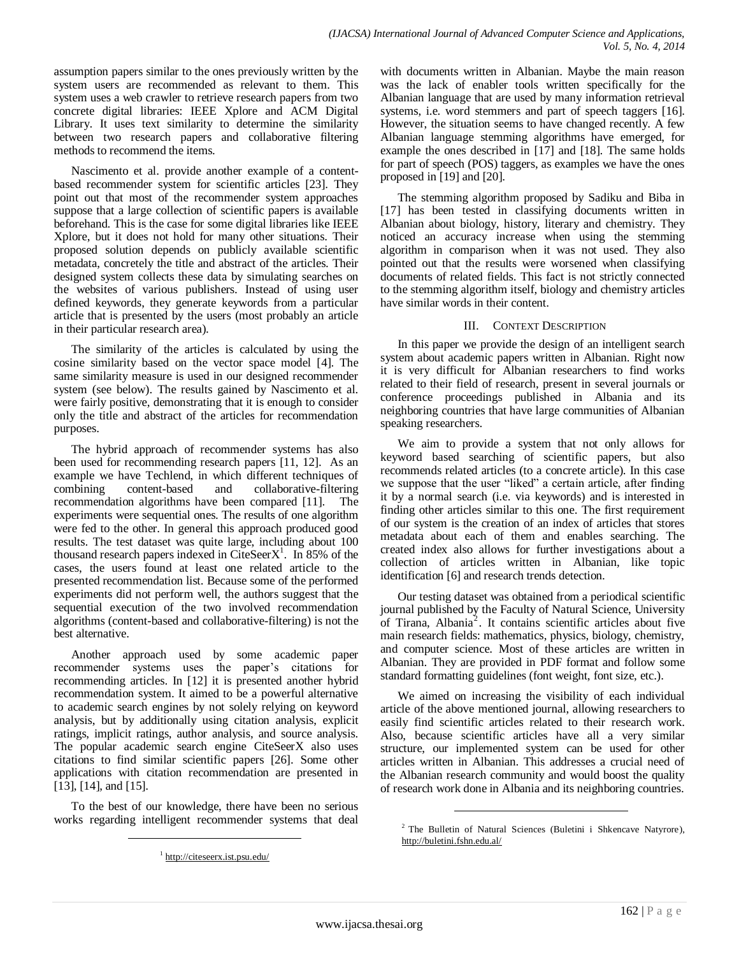assumption papers similar to the ones previously written by the system users are recommended as relevant to them. This system uses a web crawler to retrieve research papers from two concrete digital libraries: IEEE Xplore and ACM Digital Library. It uses text similarity to determine the similarity between two research papers and collaborative filtering methods to recommend the items.

Nascimento et al. provide another example of a contentbased recommender system for scientific articles [23]. They point out that most of the recommender system approaches suppose that a large collection of scientific papers is available beforehand. This is the case for some digital libraries like IEEE Xplore, but it does not hold for many other situations. Their proposed solution depends on publicly available scientific metadata, concretely the title and abstract of the articles. Their designed system collects these data by simulating searches on the websites of various publishers. Instead of using user defined keywords, they generate keywords from a particular article that is presented by the users (most probably an article in their particular research area).

The similarity of the articles is calculated by using the cosine similarity based on the vector space model [4]. The same similarity measure is used in our designed recommender system (see below). The results gained by Nascimento et al. were fairly positive, demonstrating that it is enough to consider only the title and abstract of the articles for recommendation purposes.

The hybrid approach of recommender systems has also been used for recommending research papers [11, 12]. As an example we have Techlend, in which different techniques of combining content-based and collaborative-filtering recommendation algorithms have been compared [11]. The experiments were sequential ones. The results of one algorithm were fed to the other. In general this approach produced good results. The test dataset was quite large, including about 100 thousand research papers indexed in CiteSeer $X<sup>1</sup>$ . In 85% of the cases, the users found at least one related article to the presented recommendation list. Because some of the performed experiments did not perform well, the authors suggest that the sequential execution of the two involved recommendation algorithms (content-based and collaborative-filtering) is not the best alternative.

Another approach used by some academic paper recommender systems uses the paper's citations for recommending articles. In [12] it is presented another hybrid recommendation system. It aimed to be a powerful alternative to academic search engines by not solely relying on keyword analysis, but by additionally using citation analysis, explicit ratings, implicit ratings, author analysis, and source analysis. The popular academic search engine CiteSeerX also uses citations to find similar scientific papers [26]. Some other applications with citation recommendation are presented in [13], [14], and [15].

To the best of our knowledge, there have been no serious works regarding intelligent recommender systems that deal

l

with documents written in Albanian. Maybe the main reason was the lack of enabler tools written specifically for the Albanian language that are used by many information retrieval systems, i.e. word stemmers and part of speech taggers [16]. However, the situation seems to have changed recently. A few Albanian language stemming algorithms have emerged, for example the ones described in [17] and [18]. The same holds for part of speech (POS) taggers, as examples we have the ones proposed in [19] and [20].

The stemming algorithm proposed by Sadiku and Biba in [17] has been tested in classifying documents written in Albanian about biology, history, literary and chemistry. They noticed an accuracy increase when using the stemming algorithm in comparison when it was not used. They also pointed out that the results were worsened when classifying documents of related fields. This fact is not strictly connected to the stemming algorithm itself, biology and chemistry articles have similar words in their content.

## III. CONTEXT DESCRIPTION

In this paper we provide the design of an intelligent search system about academic papers written in Albanian. Right now it is very difficult for Albanian researchers to find works related to their field of research, present in several journals or conference proceedings published in Albania and its neighboring countries that have large communities of Albanian speaking researchers.

We aim to provide a system that not only allows for keyword based searching of scientific papers, but also recommends related articles (to a concrete article). In this case we suppose that the user "liked" a certain article, after finding it by a normal search (i.e. via keywords) and is interested in finding other articles similar to this one. The first requirement of our system is the creation of an index of articles that stores metadata about each of them and enables searching. The created index also allows for further investigations about a collection of articles written in Albanian, like topic identification [6] and research trends detection.

Our testing dataset was obtained from a periodical scientific journal published by the Faculty of Natural Science, University of Tirana, Albania 2 . It contains scientific articles about five main research fields: mathematics, physics, biology, chemistry, and computer science. Most of these articles are written in Albanian. They are provided in PDF format and follow some standard formatting guidelines (font weight, font size, etc.).

We aimed on increasing the visibility of each individual article of the above mentioned journal, allowing researchers to easily find scientific articles related to their research work. Also, because scientific articles have all a very similar structure, our implemented system can be used for other articles written in Albanian. This addresses a crucial need of the Albanian research community and would boost the quality of research work done in Albania and its neighboring countries.

l

<sup>1</sup> [http://citeseerx.ist.psu.edu/](http://citeseerx.ist.psu.edu/index)

<sup>&</sup>lt;sup>2</sup> The Bulletin of Natural Sciences (Buletini i Shkencave Natyrore), <http://buletini.fshn.edu.al/>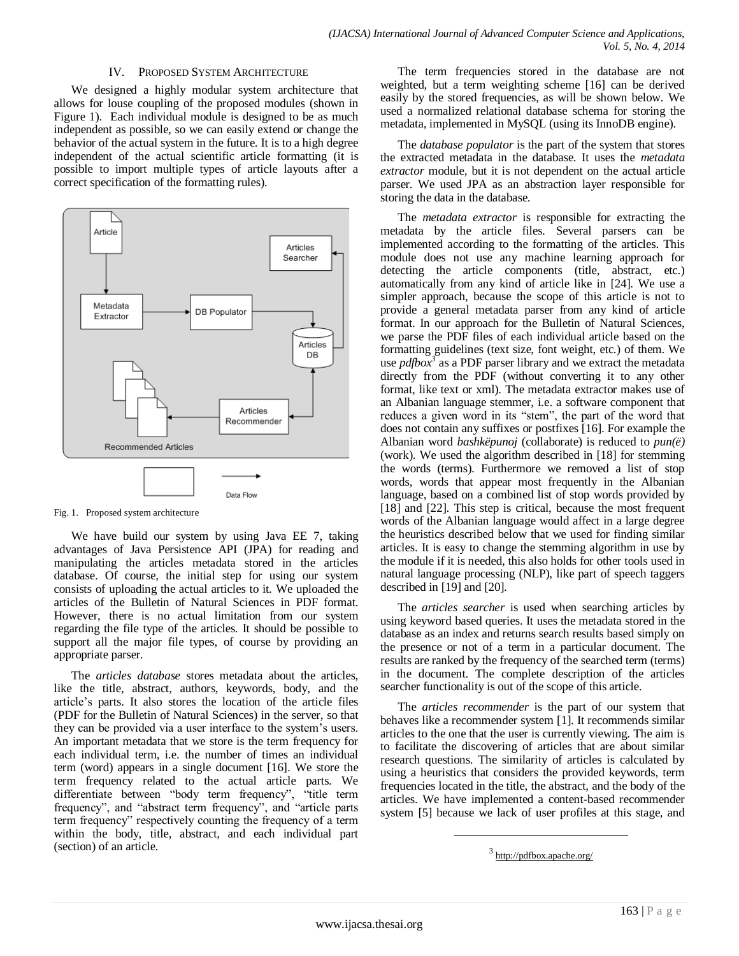#### IV. PROPOSED SYSTEM ARCHITECTURE

We designed a highly modular system architecture that allows for louse coupling of the proposed modules (shown in Figure 1). Each individual module is designed to be as much independent as possible, so we can easily extend or change the behavior of the actual system in the future. It is to a high degree independent of the actual scientific article formatting (it is possible to import multiple types of article layouts after a correct specification of the formatting rules).



Fig. 1. Proposed system architecture

We have build our system by using Java EE 7, taking advantages of Java Persistence API (JPA) for reading and manipulating the articles metadata stored in the articles database. Of course, the initial step for using our system consists of uploading the actual articles to it. We uploaded the articles of the Bulletin of Natural Sciences in PDF format. However, there is no actual limitation from our system regarding the file type of the articles. It should be possible to support all the major file types, of course by providing an appropriate parser.

The *articles database* stores metadata about the articles, like the title, abstract, authors, keywords, body, and the article's parts. It also stores the location of the article files (PDF for the Bulletin of Natural Sciences) in the server, so that they can be provided via a user interface to the system's users. An important metadata that we store is the term frequency for each individual term, i.e. the number of times an individual term (word) appears in a single document [16]. We store the term frequency related to the actual article parts. We differentiate between "body term frequency", "title term frequency", and "abstract term frequency", and "article parts term frequency" respectively counting the frequency of a term within the body, title, abstract, and each individual part (section) of an article.

The term frequencies stored in the database are not weighted, but a term weighting scheme [16] can be derived easily by the stored frequencies, as will be shown below. We used a normalized relational database schema for storing the metadata, implemented in MySQL (using its InnoDB engine).

The *database populator* is the part of the system that stores the extracted metadata in the database. It uses the *metadata extractor* module, but it is not dependent on the actual article parser. We used JPA as an abstraction layer responsible for storing the data in the database.

The *metadata extractor* is responsible for extracting the metadata by the article files. Several parsers can be implemented according to the formatting of the articles. This module does not use any machine learning approach for detecting the article components (title, abstract, etc.) automatically from any kind of article like in [24]. We use a simpler approach, because the scope of this article is not to provide a general metadata parser from any kind of article format. In our approach for the Bulletin of Natural Sciences, we parse the PDF files of each individual article based on the formatting guidelines (text size, font weight, etc.) of them. We use *pdfbox<sup>3</sup>* as a PDF parser library and we extract the metadata directly from the PDF (without converting it to any other format, like text or xml). The metadata extractor makes use of an Albanian language stemmer, i.e. a software component that reduces a given word in its "stem", the part of the word that does not contain any suffixes or postfixes [16]. For example the Albanian word *bashkëpunoj* (collaborate) is reduced to *pun(ë)* (work). We used the algorithm described in [18] for stemming the words (terms). Furthermore we removed a list of stop words, words that appear most frequently in the Albanian language, based on a combined list of stop words provided by [18] and [22]. This step is critical, because the most frequent words of the Albanian language would affect in a large degree the heuristics described below that we used for finding similar articles. It is easy to change the stemming algorithm in use by the module if it is needed, this also holds for other tools used in natural language processing (NLP), like part of speech taggers described in [19] and [20].

The *articles searcher* is used when searching articles by using keyword based queries. It uses the metadata stored in the database as an index and returns search results based simply on the presence or not of a term in a particular document. The results are ranked by the frequency of the searched term (terms) in the document. The complete description of the articles searcher functionality is out of the scope of this article.

The *articles recommender* is the part of our system that behaves like a recommender system [1]. It recommends similar articles to the one that the user is currently viewing. The aim is to facilitate the discovering of articles that are about similar research questions. The similarity of articles is calculated by using a heuristics that considers the provided keywords, term frequencies located in the title, the abstract, and the body of the articles. We have implemented a content-based recommender system [5] because we lack of user profiles at this stage, and

l

<sup>&</sup>lt;sup>3</sup> <http://pdfbox.apache.org/>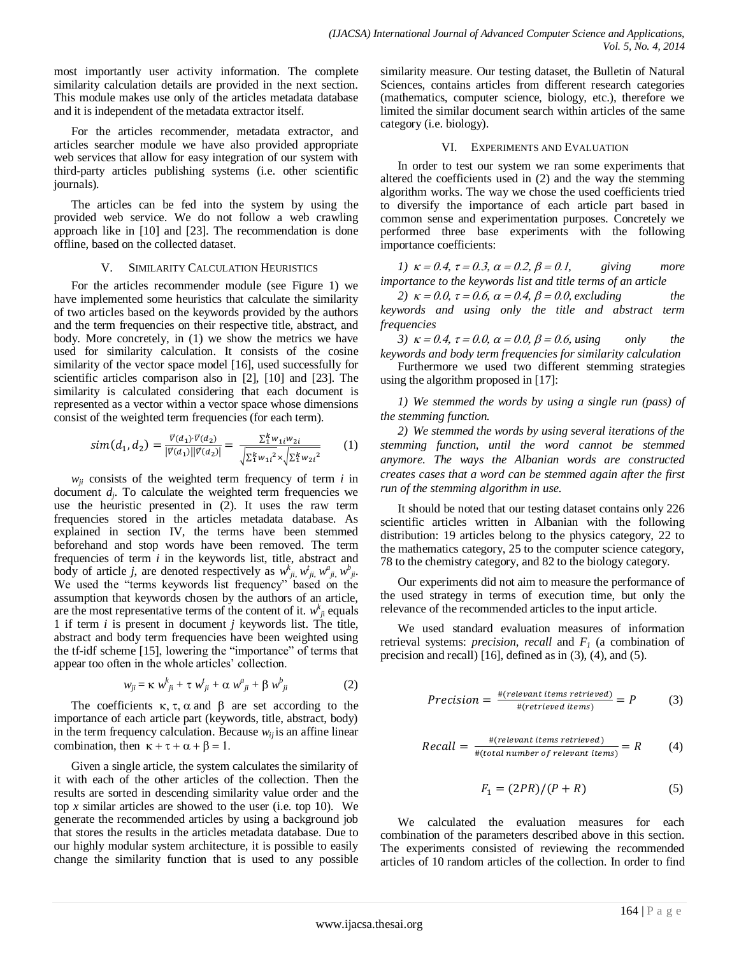most importantly user activity information. The complete similarity calculation details are provided in the next section. This module makes use only of the articles metadata database and it is independent of the metadata extractor itself.

For the articles recommender, metadata extractor, and articles searcher module we have also provided appropriate web services that allow for easy integration of our system with third-party articles publishing systems (i.e. other scientific journals).

The articles can be fed into the system by using the provided web service. We do not follow a web crawling approach like in [10] and [23]. The recommendation is done offline, based on the collected dataset.

#### V. SIMILARITY CALCULATION HEURISTICS

For the articles recommender module (see Figure 1) we have implemented some heuristics that calculate the similarity of two articles based on the keywords provided by the authors and the term frequencies on their respective title, abstract, and body. More concretely, in (1) we show the metrics we have used for similarity calculation. It consists of the cosine similarity of the vector space model [16], used successfully for scientific articles comparison also in [2], [10] and [23]. The similarity is calculated considering that each document is represented as a vector within a vector space whose dimensions consist of the weighted term frequencies (for each term).

$$
sim(d_1, d_2) = \frac{\vec{v}(d_1) \cdot \vec{v}(d_2)}{|\vec{v}(d_1)||\vec{v}(d_2)|} = \frac{\sum_{1}^{k} w_{1i}w_{2i}}{\sqrt{\sum_{1}^{k} w_{1i}^{2}} \times \sqrt{\sum_{1}^{k} w_{2i}^{2}}}
$$
(1)

 $w_{ji}$  consists of the weighted term frequency of term  $i$  in document  $d_j$ . To calculate the weighted term frequencies we use the heuristic presented in (2). It uses the raw term frequencies stored in the articles metadata database. As explained in section IV, the terms have been stemmed beforehand and stop words have been removed. The term frequencies of term *i* in the keywords list, title, abstract and body of article *j*, are denoted respectively as  $w_{ji}^k$ ,  $w_{ji}^k$ ,  $w_{ji}^a$ ,  $w_{ji}^b$ ,  $w_{ji}^b$ . We used the "terms keywords list frequency" based on the assumption that keywords chosen by the authors of an article, are the most representative terms of the content of it.  $w_{ji}^k$  equals 1 if term *i* is present in document *j* keywords list. The title, abstract and body term frequencies have been weighted using the tf-idf scheme [15], lowering the "importance" of terms that appear too often in the whole articles' collection.

$$
w_{ji} = \kappa w_{ji}^k + \tau w_{ji}^t + \alpha w_{ji}^a + \beta w_{ji}^b \tag{2}
$$

The coefficients  $\kappa$ ,  $\tau$ ,  $\alpha$  and  $\beta$  are set according to the importance of each article part (keywords, title, abstract, body) in the term frequency calculation. Because  $w_{ii}$  is an affine linear combination, then  $\kappa + \tau + \alpha + \beta = 1$ .

Given a single article, the system calculates the similarity of it with each of the other articles of the collection. Then the results are sorted in descending similarity value order and the top  $x$  similar articles are showed to the user (i.e. top 10). We generate the recommended articles by using a background job that stores the results in the articles metadata database. Due to our highly modular system architecture, it is possible to easily change the similarity function that is used to any possible similarity measure. Our testing dataset, the Bulletin of Natural Sciences, contains articles from different research categories (mathematics, computer science, biology, etc.), therefore we limited the similar document search within articles of the same category (i.e. biology).

## VI. EXPERIMENTS AND EVALUATION

In order to test our system we ran some experiments that altered the coefficients used in (2) and the way the stemming algorithm works. The way we chose the used coefficients tried to diversify the importance of each article part based in common sense and experimentation purposes. Concretely we performed three base experiments with the following importance coefficients:

*1)*  $\kappa = 0.4$ ,  $\tau = 0.3$ ,  $\alpha = 0.2$ ,  $\beta = 0.1$ , giving more *importance to the keywords list and title terms of an article*

2)  $\kappa = 0.0$ ,  $\tau = 0.6$ ,  $\alpha = 0.4$ ,  $\beta = 0.0$ , excluding the *keywords and using only the title and abstract term frequencies*

*3)*  $\kappa = 0.4$ ,  $\tau = 0.0$ ,  $\alpha = 0.0$ ,  $\beta = 0.6$ , using only the *keywords and body term frequencies for similarity calculation*

Furthermore we used two different stemming strategies using the algorithm proposed in [17]:

*1) We stemmed the words by using a single run (pass) of the stemming function.*

*2) We stemmed the words by using several iterations of the stemming function, until the word cannot be stemmed anymore. The ways the Albanian words are constructed creates cases that a word can be stemmed again after the first run of the stemming algorithm in use.*

It should be noted that our testing dataset contains only 226 scientific articles written in Albanian with the following distribution: 19 articles belong to the physics category, 22 to the mathematics category, 25 to the computer science category, 78 to the chemistry category, and 82 to the biology category.

Our experiments did not aim to measure the performance of the used strategy in terms of execution time, but only the relevance of the recommended articles to the input article.

We used standard evaluation measures of information retrieval systems: *precision*, *recall* and *F<sup>1</sup>* (a combination of precision and recall) [16], defined as in (3), (4), and (5).

$$
Precision = \frac{\#(relevant \ items \ retrieved)}{\#(retrieved \ items)} = P \tag{3}
$$

Recall = 
$$
\frac{\#(relevant \ items \ retrieved)}{\#(total \ number \ of \ relevant \ items)} = R
$$
 (4)

$$
F_1 = \frac{2PR}{P + R} \tag{5}
$$

We calculated the evaluation measures for each combination of the parameters described above in this section. The experiments consisted of reviewing the recommended articles of 10 random articles of the collection. In order to find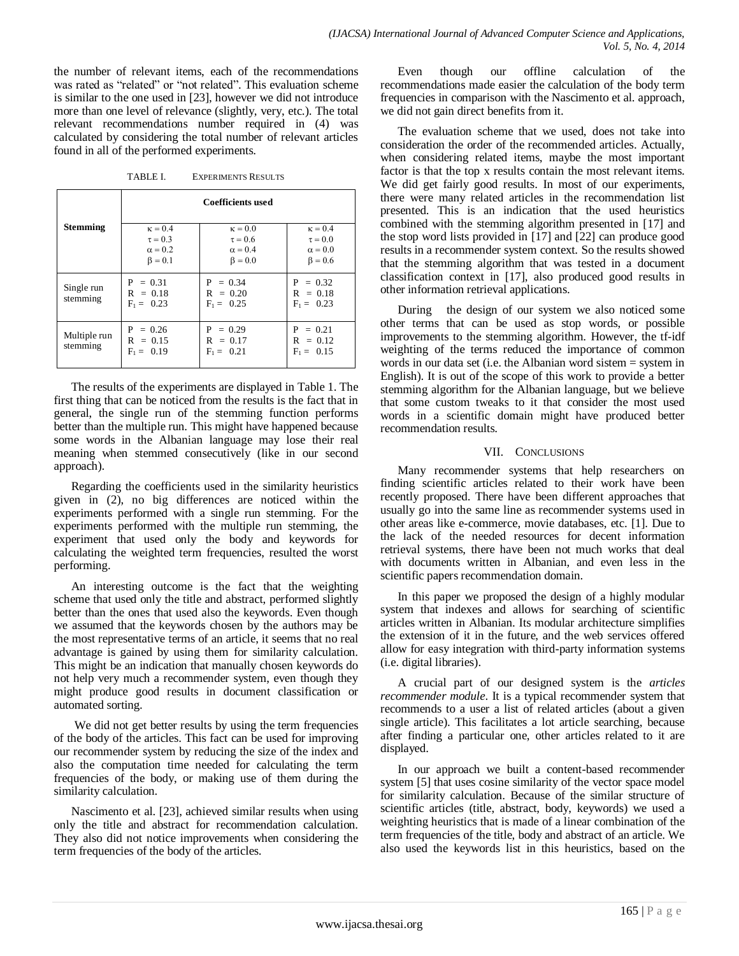the number of relevant items, each of the recommendations was rated as "related" or "not related". This evaluation scheme is similar to the one used in [23], however we did not introduce more than one level of relevance (slightly, very, etc.). The total relevant recommendations number required in (4) was calculated by considering the total number of relevant articles found in all of the performed experiments.

TABLE I. EXPERIMENTS RESULTS

|                          | <b>Coefficients used</b>                                          |                                                                   |                                                                   |
|--------------------------|-------------------------------------------------------------------|-------------------------------------------------------------------|-------------------------------------------------------------------|
| <b>Stemming</b>          | $\kappa = 0.4$<br>$\tau = 0.3$<br>$\alpha = 0.2$<br>$\beta = 0.1$ | $\kappa = 0.0$<br>$\tau = 0.6$<br>$\alpha = 0.4$<br>$\beta = 0.0$ | $\kappa = 0.4$<br>$\tau = 0.0$<br>$\alpha = 0.0$<br>$\beta = 0.6$ |
| Single run<br>stemming   | $P = 0.31$<br>$R = 0.18$<br>$F_1 = 0.23$                          | $P = 0.34$<br>$R = 0.20$<br>$F_1 = 0.25$                          | $P = 0.32$<br>$R = 0.18$<br>$F_1 = 0.23$                          |
| Multiple run<br>stemming | $P = 0.26$<br>$R = 0.15$<br>$F_1 = 0.19$                          | $P = 0.29$<br>$R = 0.17$<br>$F_1 = 0.21$                          | $P = 0.21$<br>$R = 0.12$<br>$F_1 = 0.15$                          |

The results of the experiments are displayed in Table 1. The first thing that can be noticed from the results is the fact that in general, the single run of the stemming function performs better than the multiple run. This might have happened because some words in the Albanian language may lose their real meaning when stemmed consecutively (like in our second approach).

Regarding the coefficients used in the similarity heuristics given in (2), no big differences are noticed within the experiments performed with a single run stemming. For the experiments performed with the multiple run stemming, the experiment that used only the body and keywords for calculating the weighted term frequencies, resulted the worst performing.

An interesting outcome is the fact that the weighting scheme that used only the title and abstract, performed slightly better than the ones that used also the keywords. Even though we assumed that the keywords chosen by the authors may be the most representative terms of an article, it seems that no real advantage is gained by using them for similarity calculation. This might be an indication that manually chosen keywords do not help very much a recommender system, even though they might produce good results in document classification or automated sorting.

We did not get better results by using the term frequencies of the body of the articles. This fact can be used for improving our recommender system by reducing the size of the index and also the computation time needed for calculating the term frequencies of the body, or making use of them during the similarity calculation.

Nascimento et al. [23], achieved similar results when using only the title and abstract for recommendation calculation. They also did not notice improvements when considering the term frequencies of the body of the articles.

Even though our offline calculation of the recommendations made easier the calculation of the body term frequencies in comparison with the Nascimento et al. approach, we did not gain direct benefits from it.

The evaluation scheme that we used, does not take into consideration the order of the recommended articles. Actually, when considering related items, maybe the most important factor is that the top x results contain the most relevant items. We did get fairly good results. In most of our experiments, there were many related articles in the recommendation list presented. This is an indication that the used heuristics combined with the stemming algorithm presented in [17] and the stop word lists provided in [17] and [22] can produce good results in a recommender system context. So the results showed that the stemming algorithm that was tested in a document classification context in [17], also produced good results in other information retrieval applications.

During the design of our system we also noticed some other terms that can be used as stop words, or possible improvements to the stemming algorithm. However, the tf-idf weighting of the terms reduced the importance of common words in our data set (i.e. the Albanian word sistem = system in English). It is out of the scope of this work to provide a better stemming algorithm for the Albanian language, but we believe that some custom tweaks to it that consider the most used words in a scientific domain might have produced better recommendation results.

## VII. CONCLUSIONS

Many recommender systems that help researchers on finding scientific articles related to their work have been recently proposed. There have been different approaches that usually go into the same line as recommender systems used in other areas like e-commerce, movie databases, etc. [1]. Due to the lack of the needed resources for decent information retrieval systems, there have been not much works that deal with documents written in Albanian, and even less in the scientific papers recommendation domain.

In this paper we proposed the design of a highly modular system that indexes and allows for searching of scientific articles written in Albanian. Its modular architecture simplifies the extension of it in the future, and the web services offered allow for easy integration with third-party information systems (i.e. digital libraries).

A crucial part of our designed system is the *articles recommender module*. It is a typical recommender system that recommends to a user a list of related articles (about a given single article). This facilitates a lot article searching, because after finding a particular one, other articles related to it are displayed.

In our approach we built a content-based recommender system [5] that uses cosine similarity of the vector space model for similarity calculation. Because of the similar structure of scientific articles (title, abstract, body, keywords) we used a weighting heuristics that is made of a linear combination of the term frequencies of the title, body and abstract of an article. We also used the keywords list in this heuristics, based on the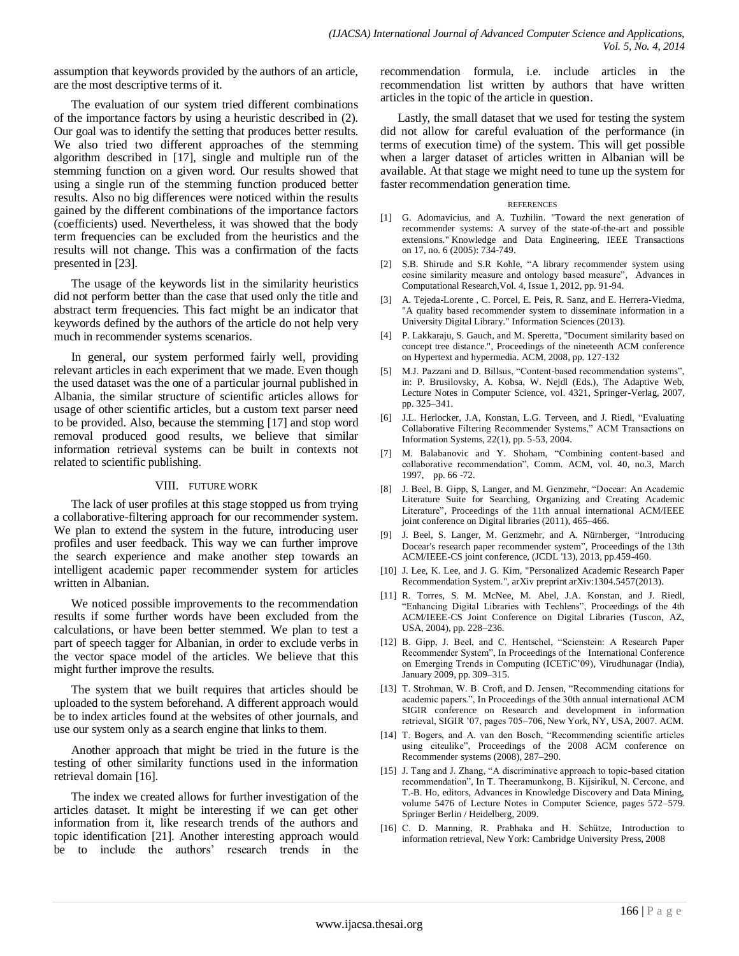assumption that keywords provided by the authors of an article, are the most descriptive terms of it.

The evaluation of our system tried different combinations of the importance factors by using a heuristic described in (2). Our goal was to identify the setting that produces better results. We also tried two different approaches of the stemming algorithm described in [17], single and multiple run of the stemming function on a given word. Our results showed that using a single run of the stemming function produced better results. Also no big differences were noticed within the results gained by the different combinations of the importance factors (coefficients) used. Nevertheless, it was showed that the body term frequencies can be excluded from the heuristics and the results will not change. This was a confirmation of the facts presented in [23].

The usage of the keywords list in the similarity heuristics did not perform better than the case that used only the title and abstract term frequencies. This fact might be an indicator that keywords defined by the authors of the article do not help very much in recommender systems scenarios.

In general, our system performed fairly well, providing relevant articles in each experiment that we made. Even though the used dataset was the one of a particular journal published in Albania, the similar structure of scientific articles allows for usage of other scientific articles, but a custom text parser need to be provided. Also, because the stemming [17] and stop word removal produced good results, we believe that similar information retrieval systems can be built in contexts not related to scientific publishing.

## VIII. FUTURE WORK

The lack of user profiles at this stage stopped us from trying a collaborative-filtering approach for our recommender system. We plan to extend the system in the future, introducing user profiles and user feedback. This way we can further improve the search experience and make another step towards an intelligent academic paper recommender system for articles written in Albanian.

We noticed possible improvements to the recommendation results if some further words have been excluded from the calculations, or have been better stemmed. We plan to test a part of speech tagger for Albanian, in order to exclude verbs in the vector space model of the articles. We believe that this might further improve the results.

The system that we built requires that articles should be uploaded to the system beforehand. A different approach would be to index articles found at the websites of other journals, and use our system only as a search engine that links to them.

Another approach that might be tried in the future is the testing of other similarity functions used in the information retrieval domain [16].

The index we created allows for further investigation of the articles dataset. It might be interesting if we can get other information from it, like research trends of the authors and topic identification [21]. Another interesting approach would be to include the authors' research trends in the recommendation formula, i.e. include articles in the recommendation list written by authors that have written articles in the topic of the article in question.

Lastly, the small dataset that we used for testing the system did not allow for careful evaluation of the performance (in terms of execution time) of the system. This will get possible when a larger dataset of articles written in Albanian will be available. At that stage we might need to tune up the system for faster recommendation generation time.

#### REFERENCES

- [1] G. Adomavicius, and A. Tuzhilin. "Toward the next generation of recommender systems: A survey of the state-of-the-art and possible extensions." Knowledge and Data Engineering, IEEE Transactions on 17, no. 6 (2005): 734-749.
- [2] S.B. Shirude and S.R Kohle, "A library recommender system using cosine similarity measure and ontology based measure", Advances in Computational Research,Vol. 4, Issue 1, 2012, pp. 91-94.
- [3] A. Tejeda-Lorente , C. Porcel, E. Peis, R. Sanz, and E. Herrera-Viedma, 'A quality based recommender system to disseminate information in a University Digital Library." Information Sciences (2013).
- [4] P. Lakkaraju, S. Gauch, and M. Speretta, "Document similarity based on concept tree distance.", Proceedings of the nineteenth ACM conference on Hypertext and hypermedia. ACM, 2008, pp. 127-132
- [5] M.J. Pazzani and D. Billsus, "Content-based recommendation systems", in: P. Brusilovsky, A. Kobsa, W. Nejdl (Eds.), The Adaptive Web, Lecture Notes in Computer Science, vol. 4321, Springer-Verlag, 2007, pp. 325–341.
- [6] J.L. Herlocker, J.A, Konstan, L.G. Terveen, and J. Riedl, "Evaluating Collaborative Filtering Recommender Systems," ACM Transactions on Information Systems, 22(1), pp. 5-53, 2004.
- [7] M. Balabanovic and Y. Shoham, "Combining content-based and collaborative recommendation", Comm. ACM, vol. 40, no.3, March 1997, pp. 66 -72.
- [8] J. Beel, B. Gipp, S, Langer, and M. Genzmehr, "Docear: An Academic Literature Suite for Searching, Organizing and Creating Academic Literature", Proceedings of the 11th annual international ACM/IEEE joint conference on Digital libraries (2011), 465–466.
- [9] J. Beel, S. Langer, M. Genzmehr, and A. Nürnberger, "Introducing Docear's research paper recommender system", Proceedings of the 13th ACM/IEEE-CS joint conference, (JCDL '13), 2013, pp.459-460.
- [10] J. Lee, K. Lee, and J. G. Kim, "Personalized Academic Research Paper Recommendation System.", arXiv preprint arXiv:1304.5457(2013).
- [11] R. Torres, S. M. McNee, M. Abel, J.A. Konstan, and J. Riedl, "Enhancing Digital Libraries with Techlens", Proceedings of the 4th ACM/IEEE-CS Joint Conference on Digital Libraries (Tuscon, AZ, USA, 2004), pp. 228–236.
- [12] B. Gipp, J. Beel, and C. Hentschel, "Scienstein: A Research Paper Recommender System", In Proceedings of the International Conference on Emerging Trends in Computing (ICETiC'09), Virudhunagar (India), January 2009, pp. 309–315.
- [13] T. Strohman, W. B. Croft, and D. Jensen, "Recommending citations for academic papers.", In Proceedings of the 30th annual international ACM SIGIR conference on Research and development in information retrieval, SIGIR '07, pages 705–706, New York, NY, USA, 2007. ACM.
- [14] T. Bogers, and A. van den Bosch, "Recommending scientific articles using citeulike", Proceedings of the 2008 ACM conference on Recommender systems (2008), 287–290.
- [15] J. Tang and J. Zhang, "A discriminative approach to topic-based citation recommendation", In T. Theeramunkong, B. Kijsirikul, N. Cercone, and T.-B. Ho, editors, Advances in Knowledge Discovery and Data Mining, volume 5476 of Lecture Notes in Computer Science, pages 572–579. Springer Berlin / Heidelberg, 2009.
- [16] C. D. Manning, R. Prabhaka and H. Schütze, Introduction to information retrieval, New York: Cambridge University Press, 2008